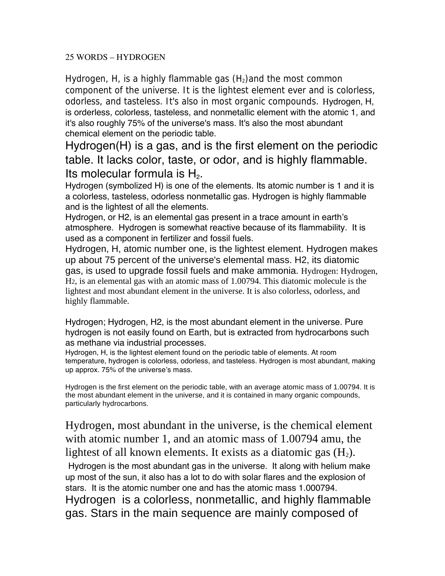## 25 WORDS – HYDROGEN

Hydrogen, H, is a highly flammable gas  $(H<sub>2</sub>)$  and the most common component of the universe. It is the lightest element ever and is colorless, odorless, and tasteless. It's also in most organic compounds. Hydrogen, H, is orderless, colorless, tasteless, and nonmetallic element with the atomic 1, and it's also roughly 75% of the universe's mass. It's also the most abundant chemical element on the periodic table.

Hydrogen(H) is a gas, and is the first element on the periodic table. It lacks color, taste, or odor, and is highly flammable. Its molecular formula is  $H_2$ .<br>Hydrogen (symbolized H) is one of the elements. Its atomic number is 1 and it is

a colorless, tasteless, odorless nonmetallic gas. Hydrogen is highly flammable and is the lightest of all the elements.

Hydrogen, or H2, is an elemental gas present in a trace amount in earth's atmosphere. Hydrogen is somewhat reactive because of its flammability. It is used as a component in fertilizer and fossil fuels.

Hydrogen, H, atomic number one, is the lightest element. Hydrogen makes up about 75 percent of the universe's elemental mass. H2, its diatomic gas, is used to upgrade fossil fuels and make ammonia. Hydrogen: Hydrogen, H2, is an elemental gas with an atomic mass of 1.00794. This diatomic molecule is the lightest and most abundant element in the universe. It is also colorless, odorless, and highly flammable.

Hydrogen; Hydrogen, H2, is the most abundant element in the universe. Pure hydrogen is not easily found on Earth, but is extracted from hydrocarbons such as methane via industrial processes.

Hydrogen, H, is the lightest element found on the periodic table of elements. At room temperature, hydrogen is colorless, odorless, and tasteless. Hydrogen is most abundant, making up approx. 75% of the universe's mass.

Hydrogen is the first element on the periodic table, with an average atomic mass of 1.00794. It is the most abundant element in the universe, and it is contained in many organic compounds, particularly hydrocarbons.

Hydrogen, most abundant in the universe, is the chemical element with atomic number 1, and an atomic mass of 1.00794 amu, the lightest of all known elements. It exists as a diatomic gas  $(H_2)$ .

Hydrogen is the most abundant gas in the universe. It along with helium make up most of the sun, it also has a lot to do with solar flares and the explosion of stars. It is the atomic number one and has the atomic mass 1.000794. Hydrogen is a colorless, nonmetallic, and highly flammable gas. Stars in the main sequence are mainly composed of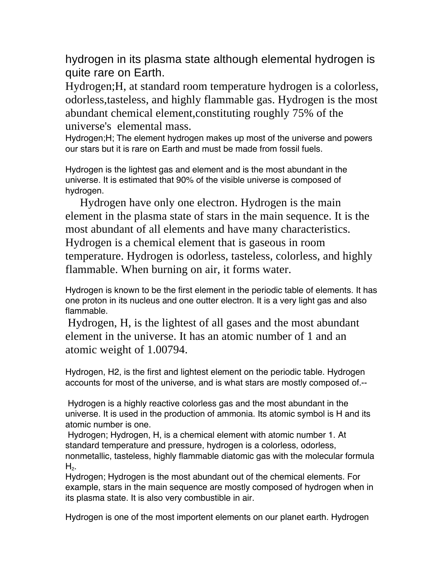hydrogen in its plasma state although elemental hydrogen is quite rare on Earth.

Hydrogen;H, at standard room temperature hydrogen is a colorless, odorless,tasteless, and highly flammable gas. Hydrogen is the most abundant chemical element,constituting roughly 75% of the universe's elemental mass.

Hydrogen;H; The element hydrogen makes up most of the universe and powers our stars but it is rare on Earth and must be made from fossil fuels.

Hydrogen is the lightest gas and element and is the most abundant in the universe. It is estimated that 90% of the visible universe is composed of hydrogen.

 Hydrogen have only one electron. Hydrogen is the main element in the plasma state of stars in the main sequence. It is the most abundant of all elements and have many characteristics. Hydrogen is a chemical element that is gaseous in room temperature. Hydrogen is odorless, tasteless, colorless, and highly flammable. When burning on air, it forms water.

Hydrogen is known to be the first element in the periodic table of elements. It has one proton in its nucleus and one outter electron. It is a very light gas and also flammable.

Hydrogen, H, is the lightest of all gases and the most abundant element in the universe. It has an atomic number of 1 and an atomic weight of 1.00794.

Hydrogen, H2, is the first and lightest element on the periodic table. Hydrogen accounts for most of the universe, and is what stars are mostly composed of.--

 Hydrogen is a highly reactive colorless gas and the most abundant in the universe. It is used in the production of ammonia. Its atomic symbol is H and its atomic number is one.

 Hydrogen; Hydrogen, H, is a chemical element with atomic number 1. At standard temperature and pressure, hydrogen is a colorless, odorless, nonmetallic, tasteless, highly flammable diatomic gas with the molecular formula  $H<sub>2</sub>$ .

Hydrogen; Hydrogen is the most abundant out of the chemical elements. For example, stars in the main sequence are mostly composed of hydrogen when in its plasma state. It is also very combustible in air.

Hydrogen is one of the most importent elements on our planet earth. Hydrogen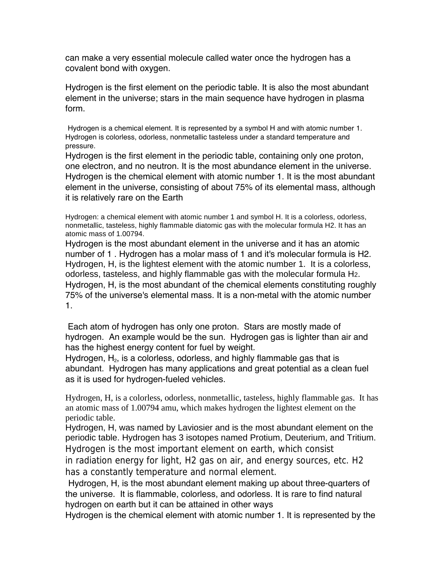can make a very essential molecule called water once the hydrogen has a covalent bond with oxygen.

Hydrogen is the first element on the periodic table. It is also the most abundant element in the universe; stars in the main sequence have hydrogen in plasma form.

Hydrogen is a chemical element. It is represented by a symbol H and with atomic number 1. Hydrogen is colorless, odorless, nonmetallic tasteless under a standard temperature and pressure.

Hydrogen is the first element in the periodic table, containing only one proton, one electron, and no neutron. It is the most abundance element in the universe. Hydrogen is the chemical element with atomic number 1. It is the most abundant element in the universe, consisting of about 75% of its elemental mass, although it is relatively rare on the Earth

Hydrogen: a chemical element with atomic number 1 and symbol H. It is a colorless, odorless, nonmetallic, tasteless, highly flammable diatomic gas with the molecular formula H2. It has an atomic mass of 1.00794.

Hydrogen is the most abundant element in the universe and it has an atomic number of 1 . Hydrogen has a molar mass of 1 and it's molecular formula is H2. Hydrogen, H, is the lightest element with the atomic number 1. It is a colorless, odorless, tasteless, and highly flammable gas with the molecular formula H2. Hydrogen, H, is the most abundant of the chemical elements constituting roughly 75% of the universe's elemental mass. It is a non-metal with the atomic number 1.

 Each atom of hydrogen has only one proton. Stars are mostly made of hydrogen. An example would be the sun. Hydrogen gas is lighter than air and has the highest energy content for fuel by weight.

Hydrogen,  $H_2$ , is a colorless, odorless, and highly flammable gas that is abundant. Hydrogen has many applications and great potential as a clean fuel as it is used for hydrogen-fueled vehicles.

Hydrogen, H, is a colorless, odorless, nonmetallic, tasteless, highly flammable gas. It has an atomic mass of 1.00794 amu, which makes hydrogen the lightest element on the periodic table.

Hydrogen, H, was named by Laviosier and is the most abundant element on the periodic table. Hydrogen has 3 isotopes named Protium, Deuterium, and Tritium. Hydrogen is the most important element on earth, which consist

in radiation energy for light, H2 gas on air, and energy sources, etc. H2 has a constantly temperature and normal element.

Hydrogen, H, is the most abundant element making up about three-quarters of the universe. It is flammable, colorless, and odorless. It is rare to find natural hydrogen on earth but it can be attained in other ways

Hydrogen is the chemical element with atomic number 1. It is represented by the